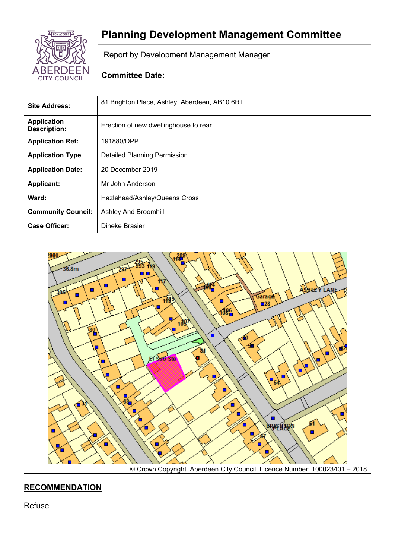

# **Planning Development Management Committee**

Report by Development Management Manager

## **Committee Date:**

| <b>Site Address:</b>                      | 81 Brighton Place, Ashley, Aberdeen, AB10 6RT |
|-------------------------------------------|-----------------------------------------------|
| <b>Application</b><br><b>Description:</b> | Erection of new dwellinghouse to rear         |
| <b>Application Ref:</b>                   | 191880/DPP                                    |
| <b>Application Type</b>                   | <b>Detailed Planning Permission</b>           |
| <b>Application Date:</b>                  | 20 December 2019                              |
| <b>Applicant:</b>                         | Mr John Anderson                              |
| Ward:                                     | Hazlehead/Ashley/Queens Cross                 |
| <b>Community Council:</b>                 | Ashley And Broomhill                          |
| <b>Case Officer:</b>                      | Dineke Brasier                                |



# **RECOMMENDATION**

Refuse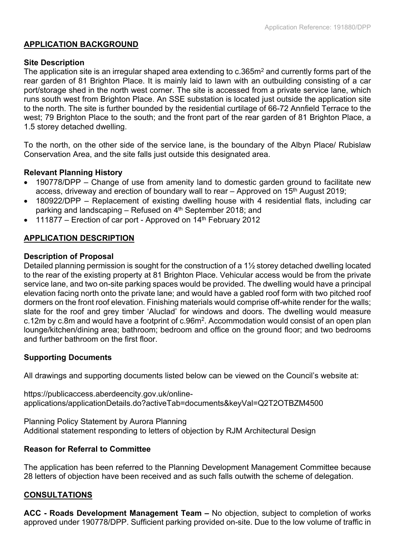## **APPLICATION BACKGROUND**

#### **Site Description**

The application site is an irregular shaped area extending to c.365m<sup>2</sup> and currently forms part of the rear garden of 81 Brighton Place. It is mainly laid to lawn with an outbuilding consisting of a car port/storage shed in the north west corner. The site is accessed from a private service lane, which runs south west from Brighton Place. An SSE substation is located just outside the application site to the north. The site is further bounded by the residential curtilage of 66-72 Annfield Terrace to the west; 79 Brighton Place to the south; and the front part of the rear garden of 81 Brighton Place, a 1.5 storey detached dwelling.

To the north, on the other side of the service lane, is the boundary of the Albyn Place/ Rubislaw Conservation Area, and the site falls just outside this designated area.

## **Relevant Planning History**

- 190778/DPP Change of use from amenity land to domestic garden ground to facilitate new access, driveway and erection of boundary wall to rear – Approved on 15<sup>th</sup> August 2019;
- 180922/DPP Replacement of existing dwelling house with 4 residential flats, including car parking and landscaping – Refused on 4<sup>th</sup> September 2018; and
- 111877 Erection of car port Approved on 14th February 2012

## **APPLICATION DESCRIPTION**

## **Description of Proposal**

Detailed planning permission is sought for the construction of a 1½ storey detached dwelling located to the rear of the existing property at 81 Brighton Place. Vehicular access would be from the private service lane, and two on-site parking spaces would be provided. The dwelling would have a principal elevation facing north onto the private lane; and would have a gabled roof form with two pitched roof dormers on the front roof elevation. Finishing materials would comprise off-white render for the walls; slate for the roof and grey timber 'Aluclad' for windows and doors. The dwelling would measure c.12m by c.8m and would have a footprint of c.96m<sup>2</sup>. Accommodation would consist of an open plan lounge/kitchen/dining area; bathroom; bedroom and office on the ground floor; and two bedrooms and further bathroom on the first floor.

## **Supporting Documents**

All drawings and supporting documents listed below can be viewed on the Council's website at:

https://publicaccess.aberdeencity.gov.uk/onlineapplications/applicationDetails.do?activeTab=documents&keyVal=Q2T2OTBZM4500

Planning Policy Statement by Aurora Planning Additional statement responding to letters of objection by RJM Architectural Design

#### **Reason for Referral to Committee**

The application has been referred to the Planning Development Management Committee because 28 letters of objection have been received and as such falls outwith the scheme of delegation.

## **CONSULTATIONS**

**ACC - Roads Development Management Team –** No objection, subject to completion of works approved under 190778/DPP. Sufficient parking provided on-site. Due to the low volume of traffic in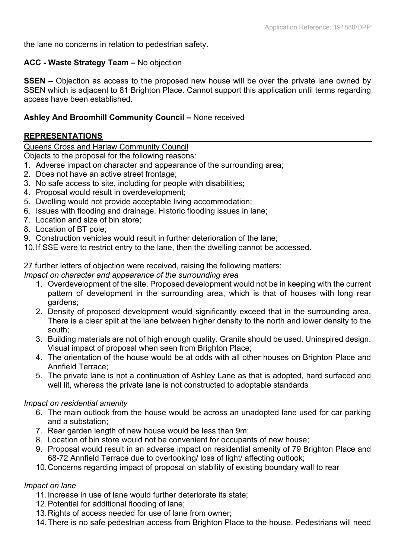the lane no concerns in relation to pedestrian safety.

## **ACC - Waste Strategy Team –** No objection

**SSEN** – Objection as access to the proposed new house will be over the private lane owned by SSEN which is adjacent to 81 Brighton Place. Cannot support this application until terms regarding access have been established.

## **Ashley And Broomhill Community Council –** None received

## **REPRESENTATIONS**

Queens Cross and Harlaw Community Council

Objects to the proposal for the following reasons:

- 1. Adverse impact on character and appearance of the surrounding area;
- 2. Does not have an active street frontage;
- 3. No safe access to site, including for people with disabilities;
- 4. Proposal would result in overdevelopment;
- 5. Dwelling would not provide acceptable living accommodation;
- 6. Issues with flooding and drainage. Historic flooding issues in lane;
- 7. Location and size of bin store;
- 8. Location of BT pole;
- 9. Construction vehicles would result in further deterioration of the lane;
- 10.If SSE were to restrict entry to the lane, then the dwelling cannot be accessed.

27 further letters of objection were received, raising the following matters:

#### *Impact on character and appearance of the surrounding area*

- 1. Overdevelopment of the site. Proposed development would not be in keeping with the current pattern of development in the surrounding area, which is that of houses with long rear gardens;
- 2. Density of proposed development would significantly exceed that in the surrounding area. There is a clear split at the lane between higher density to the north and lower density to the south;
- 3. Building materials are not of high enough quality. Granite should be used. Uninspired design. Visual impact of proposal when seen from Brighton Place;
- 4. The orientation of the house would be at odds with all other houses on Brighton Place and Annfield Terrace;
- 5. The private lane is not a continuation of Ashley Lane as that is adopted, hard surfaced and well lit, whereas the private lane is not constructed to adoptable standards

#### *Impact on residential amenity*

- 6. The main outlook from the house would be across an unadopted lane used for car parking and a substation;
- 7. Rear garden length of new house would be less than 9m;
- 8. Location of bin store would not be convenient for occupants of new house;
- 9. Proposal would result in an adverse impact on residential amenity of 79 Brighton Place and 68-72 Annfield Terrace due to overlooking/ loss of light/ affecting outlook;
- 10.Concerns regarding impact of proposal on stability of existing boundary wall to rear

#### *Impact on lane*

- 11.Increase in use of lane would further deteriorate its state;
- 12.Potential for additional flooding of lane;
- 13.Rights of access needed for use of lane from owner;
- 14.There is no safe pedestrian access from Brighton Place to the house. Pedestrians will need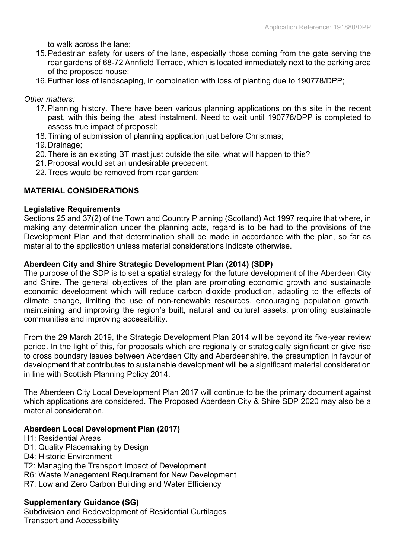to walk across the lane;

- 15.Pedestrian safety for users of the lane, especially those coming from the gate serving the rear gardens of 68-72 Annfield Terrace, which is located immediately next to the parking area of the proposed house;
- 16.Further loss of landscaping, in combination with loss of planting due to 190778/DPP;

## *Other matters:*

- 17.Planning history. There have been various planning applications on this site in the recent past, with this being the latest instalment. Need to wait until 190778/DPP is completed to assess true impact of proposal;
- 18.Timing of submission of planning application just before Christmas;
- 19.Drainage;
- 20.There is an existing BT mast just outside the site, what will happen to this?
- 21.Proposal would set an undesirable precedent;
- 22.Trees would be removed from rear garden;

## **MATERIAL CONSIDERATIONS**

#### **Legislative Requirements**

Sections 25 and 37(2) of the Town and Country Planning (Scotland) Act 1997 require that where, in making any determination under the planning acts, regard is to be had to the provisions of the Development Plan and that determination shall be made in accordance with the plan, so far as material to the application unless material considerations indicate otherwise.

#### **Aberdeen City and Shire Strategic Development Plan (2014) (SDP)**

The purpose of the SDP is to set a spatial strategy for the future development of the Aberdeen City and Shire. The general objectives of the plan are promoting economic growth and sustainable economic development which will reduce carbon dioxide production, adapting to the effects of climate change, limiting the use of non-renewable resources, encouraging population growth, maintaining and improving the region's built, natural and cultural assets, promoting sustainable communities and improving accessibility.

From the 29 March 2019, the Strategic Development Plan 2014 will be beyond its five-year review period. In the light of this, for proposals which are regionally or strategically significant or give rise to cross boundary issues between Aberdeen City and Aberdeenshire, the presumption in favour of development that contributes to sustainable development will be a significant material consideration in line with Scottish Planning Policy 2014.

The Aberdeen City Local Development Plan 2017 will continue to be the primary document against which applications are considered. The Proposed Aberdeen City & Shire SDP 2020 may also be a material consideration.

#### **Aberdeen Local Development Plan (2017)**

- H1: Residential Areas
- D1: Quality Placemaking by Design
- D4: Historic Environment
- T2: Managing the Transport Impact of Development
- R6: Waste Management Requirement for New Development
- R7: Low and Zero Carbon Building and Water Efficiency

## **Supplementary Guidance (SG)**

Subdivision and Redevelopment of Residential Curtilages Transport and Accessibility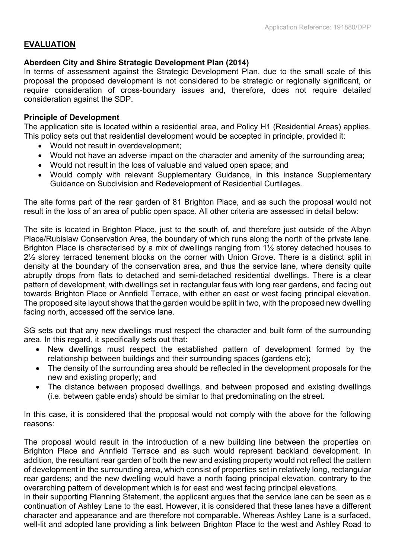## **EVALUATION**

## **Aberdeen City and Shire Strategic Development Plan (2014)**

In terms of assessment against the Strategic Development Plan, due to the small scale of this proposal the proposed development is not considered to be strategic or regionally significant, or require consideration of cross-boundary issues and, therefore, does not require detailed consideration against the SDP.

#### **Principle of Development**

The application site is located within a residential area, and Policy H1 (Residential Areas) applies. This policy sets out that residential development would be accepted in principle, provided it:

- Would not result in overdevelopment;
- Would not have an adverse impact on the character and amenity of the surrounding area;
- Would not result in the loss of valuable and valued open space; and
- Would comply with relevant Supplementary Guidance, in this instance Supplementary Guidance on Subdivision and Redevelopment of Residential Curtilages.

The site forms part of the rear garden of 81 Brighton Place, and as such the proposal would not result in the loss of an area of public open space. All other criteria are assessed in detail below:

The site is located in Brighton Place, just to the south of, and therefore just outside of the Albyn Place/Rubislaw Conservation Area, the boundary of which runs along the north of the private lane. Brighton Place is characterised by a mix of dwellings ranging from 1<sup>1/2</sup> storey detached houses to 2½ storey terraced tenement blocks on the corner with Union Grove. There is a distinct split in density at the boundary of the conservation area, and thus the service lane, where density quite abruptly drops from flats to detached and semi-detached residential dwellings. There is a clear pattern of development, with dwellings set in rectangular feus with long rear gardens, and facing out towards Brighton Place or Annfield Terrace, with either an east or west facing principal elevation. The proposed site layout shows that the garden would be split in two, with the proposed new dwelling facing north, accessed off the service lane.

SG sets out that any new dwellings must respect the character and built form of the surrounding area. In this regard, it specifically sets out that:

- New dwellings must respect the established pattern of development formed by the relationship between buildings and their surrounding spaces (gardens etc);
- The density of the surrounding area should be reflected in the development proposals for the new and existing property; and
- The distance between proposed dwellings, and between proposed and existing dwellings (i.e. between gable ends) should be similar to that predominating on the street.

In this case, it is considered that the proposal would not comply with the above for the following reasons:

The proposal would result in the introduction of a new building line between the properties on Brighton Place and Annfield Terrace and as such would represent backland development. In addition, the resultant rear garden of both the new and existing property would not reflect the pattern of development in the surrounding area, which consist of properties set in relatively long, rectangular rear gardens; and the new dwelling would have a north facing principal elevation, contrary to the overarching pattern of development which is for east and west facing principal elevations.

In their supporting Planning Statement, the applicant argues that the service lane can be seen as a continuation of Ashley Lane to the east. However, it is considered that these lanes have a different character and appearance and are therefore not comparable. Whereas Ashley Lane is a surfaced, well-lit and adopted lane providing a link between Brighton Place to the west and Ashley Road to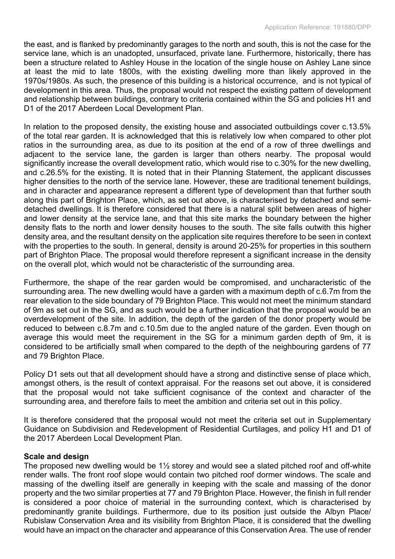the east, and is flanked by predominantly garages to the north and south, this is not the case for the service lane, which is an unadopted, unsurfaced, private lane. Furthermore, historically, there has been a structure related to Ashley House in the location of the single house on Ashley Lane since at least the mid to late 1800s, with the existing dwelling more than likely approved in the 1970s/1980s. As such, the presence of this building is a historical occurrence, and is not typical of development in this area. Thus, the proposal would not respect the existing pattern of development and relationship between buildings, contrary to criteria contained within the SG and policies H1 and D1 of the 2017 Aberdeen Local Development Plan.

In relation to the proposed density, the existing house and associated outbuildings cover c.13.5% of the total rear garden. It is acknowledged that this is relatively low when compared to other plot ratios in the surrounding area, as due to its position at the end of a row of three dwellings and adjacent to the service lane, the garden is larger than others nearby. The proposal would significantly increase the overall development ratio, which would rise to c.30% for the new dwelling, and c.26.5% for the existing. It is noted that in their Planning Statement, the applicant discusses higher densities to the north of the service lane. However, these are traditional tenement buildings, and in character and appearance represent a different type of development than that further south along this part of Brighton Place, which, as set out above, is characterised by detached and semidetached dwellings. It is therefore considered that there is a natural split between areas of higher and lower density at the service lane, and that this site marks the boundary between the higher density flats to the north and lower density houses to the south. The site falls outwith this higher density area, and the resultant density on the application site requires therefore to be seen in context with the properties to the south. In general, density is around 20-25% for properties in this southern part of Brighton Place. The proposal would therefore represent a significant increase in the density on the overall plot, which would not be characteristic of the surrounding area.

Furthermore, the shape of the rear garden would be compromised, and uncharacteristic of the surrounding area. The new dwelling would have a garden with a maximum depth of c.6.7m from the rear elevation to the side boundary of 79 Brighton Place. This would not meet the minimum standard of 9m as set out in the SG, and as such would be a further indication that the proposal would be an overdevelopment of the site. In addition, the depth of the garden of the donor property would be reduced to between c.8.7m and c.10.5m due to the angled nature of the garden. Even though on average this would meet the requirement in the SG for a minimum garden depth of 9m, it is considered to be artificially small when compared to the depth of the neighbouring gardens of 77 and 79 Brighton Place.

Policy D1 sets out that all development should have a strong and distinctive sense of place which, amongst others, is the result of context appraisal. For the reasons set out above, it is considered that the proposal would not take sufficient cognisance of the context and character of the surrounding area, and therefore fails to meet the ambition and criteria set out in this policy.

It is therefore considered that the proposal would not meet the criteria set out in Supplementary Guidance on Subdivision and Redevelopment of Residential Curtilages, and policy H1 and D1 of the 2017 Aberdeen Local Development Plan.

#### **Scale and design**

The proposed new dwelling would be  $1\frac{1}{2}$  storey and would see a slated pitched roof and off-white render walls. The front roof slope would contain two pitched roof dormer windows. The scale and massing of the dwelling itself are generally in keeping with the scale and massing of the donor property and the two similar properties at 77 and 79 Brighton Place. However, the finish in full render is considered a poor choice of material in the surrounding context, which is characterised by predominantly granite buildings. Furthermore, due to its position just outside the Albyn Place/ Rubislaw Conservation Area and its visibility from Brighton Place, it is considered that the dwelling would have an impact on the character and appearance of this Conservation Area. The use of render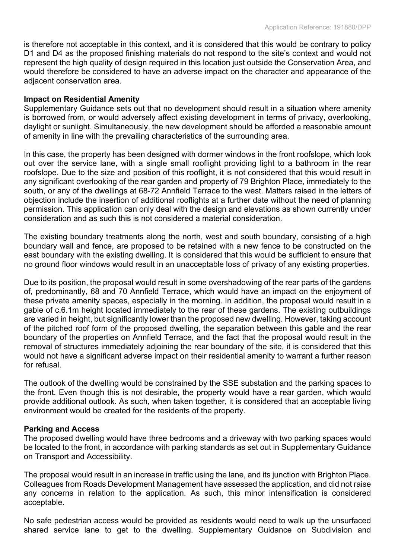is therefore not acceptable in this context, and it is considered that this would be contrary to policy D1 and D4 as the proposed finishing materials do not respond to the site's context and would not represent the high quality of design required in this location just outside the Conservation Area, and would therefore be considered to have an adverse impact on the character and appearance of the adjacent conservation area.

#### **Impact on Residential Amenity**

Supplementary Guidance sets out that no development should result in a situation where amenity is borrowed from, or would adversely affect existing development in terms of privacy, overlooking, daylight or sunlight. Simultaneously, the new development should be afforded a reasonable amount of amenity in line with the prevailing characteristics of the surrounding area.

In this case, the property has been designed with dormer windows in the front roofslope, which look out over the service lane, with a single small rooflight providing light to a bathroom in the rear roofslope. Due to the size and position of this rooflight, it is not considered that this would result in any significant overlooking of the rear garden and property of 79 Brighton Place, immediately to the south, or any of the dwellings at 68-72 Annfield Terrace to the west. Matters raised in the letters of objection include the insertion of additional rooflights at a further date without the need of planning permission. This application can only deal with the design and elevations as shown currently under consideration and as such this is not considered a material consideration.

The existing boundary treatments along the north, west and south boundary, consisting of a high boundary wall and fence, are proposed to be retained with a new fence to be constructed on the east boundary with the existing dwelling. It is considered that this would be sufficient to ensure that no ground floor windows would result in an unacceptable loss of privacy of any existing properties.

Due to its position, the proposal would result in some overshadowing of the rear parts of the gardens of, predominantly, 68 and 70 Annfield Terrace, which would have an impact on the enjoyment of these private amenity spaces, especially in the morning. In addition, the proposal would result in a gable of c.6.1m height located immediately to the rear of these gardens. The existing outbuildings are varied in height, but significantly lower than the proposed new dwelling. However, taking account of the pitched roof form of the proposed dwelling, the separation between this gable and the rear boundary of the properties on Annfield Terrace, and the fact that the proposal would result in the removal of structures immediately adjoining the rear boundary of the site, it is considered that this would not have a significant adverse impact on their residential amenity to warrant a further reason for refusal.

The outlook of the dwelling would be constrained by the SSE substation and the parking spaces to the front. Even though this is not desirable, the property would have a rear garden, which would provide additional outlook. As such, when taken together, it is considered that an acceptable living environment would be created for the residents of the property.

#### **Parking and Access**

The proposed dwelling would have three bedrooms and a driveway with two parking spaces would be located to the front, in accordance with parking standards as set out in Supplementary Guidance on Transport and Accessibility.

The proposal would result in an increase in traffic using the lane, and its junction with Brighton Place. Colleagues from Roads Development Management have assessed the application, and did not raise any concerns in relation to the application. As such, this minor intensification is considered acceptable.

No safe pedestrian access would be provided as residents would need to walk up the unsurfaced shared service lane to get to the dwelling. Supplementary Guidance on Subdivision and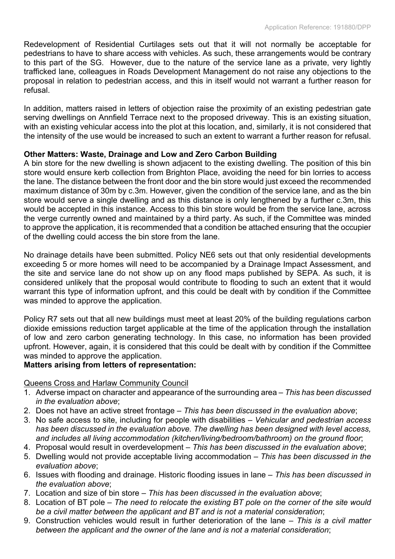Redevelopment of Residential Curtilages sets out that it will not normally be acceptable for pedestrians to have to share access with vehicles. As such, these arrangements would be contrary to this part of the SG. However, due to the nature of the service lane as a private, very lightly trafficked lane, colleagues in Roads Development Management do not raise any objections to the proposal in relation to pedestrian access, and this in itself would not warrant a further reason for refusal.

In addition, matters raised in letters of objection raise the proximity of an existing pedestrian gate serving dwellings on Annfield Terrace next to the proposed driveway. This is an existing situation, with an existing vehicular access into the plot at this location, and, similarly, it is not considered that the intensity of the use would be increased to such an extent to warrant a further reason for refusal.

## **Other Matters: Waste, Drainage and Low and Zero Carbon Building**

A bin store for the new dwelling is shown adjacent to the existing dwelling. The position of this bin store would ensure kerb collection from Brighton Place, avoiding the need for bin lorries to access the lane. The distance between the front door and the bin store would just exceed the recommended maximum distance of 30m by c.3m. However, given the condition of the service lane, and as the bin store would serve a single dwelling and as this distance is only lengthened by a further c.3m, this would be accepted in this instance. Access to this bin store would be from the service lane, across the verge currently owned and maintained by a third party. As such, if the Committee was minded to approve the application, it is recommended that a condition be attached ensuring that the occupier of the dwelling could access the bin store from the lane.

No drainage details have been submitted. Policy NE6 sets out that only residential developments exceeding 5 or more homes will need to be accompanied by a Drainage Impact Assessment, and the site and service lane do not show up on any flood maps published by SEPA. As such, it is considered unlikely that the proposal would contribute to flooding to such an extent that it would warrant this type of information upfront, and this could be dealt with by condition if the Committee was minded to approve the application.

Policy R7 sets out that all new buildings must meet at least 20% of the building regulations carbon dioxide emissions reduction target applicable at the time of the application through the installation of low and zero carbon generating technology. In this case, no information has been provided upfront. However, again, it is considered that this could be dealt with by condition if the Committee was minded to approve the application.

## **Matters arising from letters of representation:**

Queens Cross and Harlaw Community Council

- 1. Adverse impact on character and appearance of the surrounding area *– This has been discussed in the evaluation above*;
- 2. Does not have an active street frontage *– This has been discussed in the evaluation above*;
- 3. No safe access to site, including for people with disabilities *Vehicular and pedestrian access has been discussed in the evaluation above. The dwelling has been designed with level access, and includes all living accommodation (kitchen/living/bedroom/bathroom) on the ground floor*;
- 4. Proposal would result in overdevelopment *– This has been discussed in the evaluation above*;
- 5. Dwelling would not provide acceptable living accommodation *– This has been discussed in the evaluation above*;
- 6. Issues with flooding and drainage. Historic flooding issues in lane *– This has been discussed in the evaluation above*;
- 7. Location and size of bin store *– This has been discussed in the evaluation above*;
- 8. Location of BT pole *The need to relocate the existing BT pole on the corner of the site would be a civil matter between the applicant and BT and is not a material consideration*;
- 9. Construction vehicles would result in further deterioration of the lane *This is a civil matter between the applicant and the owner of the lane and is not a material consideration*;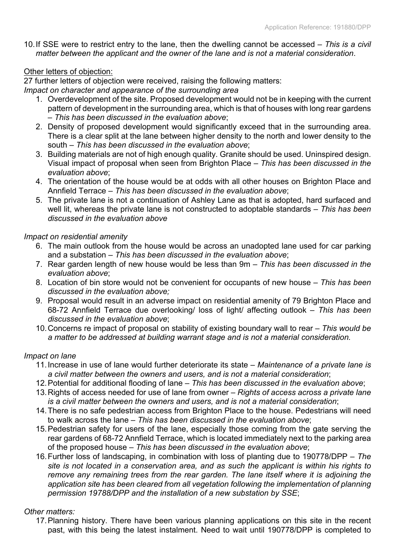10.If SSE were to restrict entry to the lane, then the dwelling cannot be accessed – *This is a civil matter between the applicant and the owner of the lane and is not a material consideration*.

## Other letters of objection:

27 further letters of objection were received, raising the following matters:

*Impact on character and appearance of the surrounding area*

- 1. Overdevelopment of the site. Proposed development would not be in keeping with the current pattern of development in the surrounding area, which is that of houses with long rear gardens *– This has been discussed in the evaluation above*;
- 2. Density of proposed development would significantly exceed that in the surrounding area. There is a clear split at the lane between higher density to the north and lower density to the south *– This has been discussed in the evaluation above*;
- 3. Building materials are not of high enough quality. Granite should be used. Uninspired design. Visual impact of proposal when seen from Brighton Place – *This has been discussed in the evaluation above*;
- 4. The orientation of the house would be at odds with all other houses on Brighton Place and Annfield Terrace *– This has been discussed in the evaluation above*;
- 5. The private lane is not a continuation of Ashley Lane as that is adopted, hard surfaced and well lit, whereas the private lane is not constructed to adoptable standards *– This has been discussed in the evaluation above*

## *Impact on residential amenity*

- 6. The main outlook from the house would be across an unadopted lane used for car parking and a substation *– This has been discussed in the evaluation above*;
- 7. Rear garden length of new house would be less than 9m *– This has been discussed in the evaluation above*;
- 8. Location of bin store would not be convenient for occupants of new house *This has been discussed in the evaluation above;*
- 9. Proposal would result in an adverse impact on residential amenity of 79 Brighton Place and 68-72 Annfield Terrace due overlooking/ loss of light/ affecting outlook – *This has been discussed in the evaluation above*;
- 10.Concerns re impact of proposal on stability of existing boundary wall to rear *This would be a matter to be addressed at building warrant stage and is not a material consideration.*

#### *Impact on lane*

- 11.Increase in use of lane would further deteriorate its state *Maintenance of a private lane is a civil matter between the owners and users, and is not a material consideration*;
- 12.Potential for additional flooding of lane *This has been discussed in the evaluation above*;
- 13.Rights of access needed for use of lane from owner *Rights of access across a private lane is a civil matter between the owners and users, and is not a material consideration*;
- 14.There is no safe pedestrian access from Brighton Place to the house. Pedestrians will need to walk across the lane *– This has been discussed in the evaluation above*;
- 15.Pedestrian safety for users of the lane, especially those coming from the gate serving the rear gardens of 68-72 Annfield Terrace, which is located immediately next to the parking area of the proposed house – *This has been discussed in the evaluation above*;
- 16.Further loss of landscaping, in combination with loss of planting due to 190778/DPP *The site is not located in a conservation area, and as such the applicant is within his rights to remove any remaining trees from the rear garden. The lane itself where it is adjoining the application site has been cleared from all vegetation following the implementation of planning permission 19788/DPP and the installation of a new substation by SSE*;

## *Other matters:*

17.Planning history. There have been various planning applications on this site in the recent past, with this being the latest instalment. Need to wait until 190778/DPP is completed to